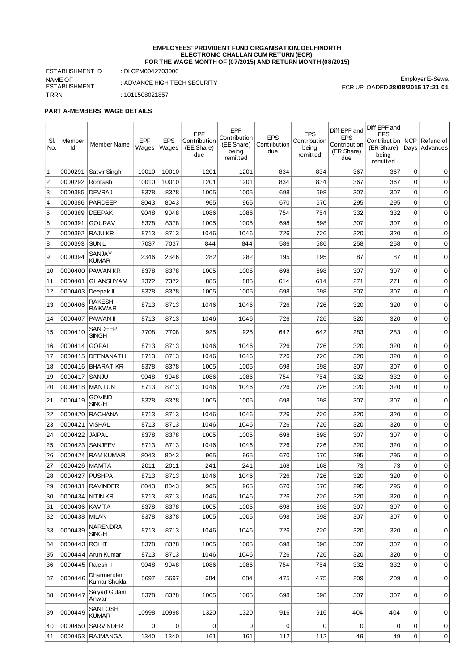#### **EMPLOYEES' PROVIDENT FUND ORGANISATION, DELHINORTH ELECTRONIC CHALLAN CUM RETURN (ECR) FOR THE WAGE MONTH OF (07/2015) AND RETURN MONTH (08/2015)**

ESTABLISHMENT ID : DLCPM0042703000 NAME OF ESTABLISHMENT TRRN : 1011508021857

'n

: ADVANCE HIGH TECH SECURITY

Employer E-Sewa ECR UPLOADED **28/08/2015 17:21:01**

### **PART A-MEMBERS' WAGE DETAILS**

| SI.<br>No.     | Member<br>Ιd      | Member Name                     | EPF<br>Wages | <b>EPS</b><br>Wages | EPF<br>Contribution<br>(EE Share)<br>due | EPF<br>Contribution<br>(EE Share)<br>being<br>remitted | <b>EPS</b><br>Contribution<br>due | <b>EPS</b><br>Contribution<br>being<br>remitted | Diff EPF and<br><b>EPS</b><br>Contribution<br>(ER Share)<br>due | Diff EPF and<br><b>EPS</b><br>Contribution<br>(ER Share)<br>being<br>remitted | <b>NCP</b><br>Days | Refund of<br>Advances |
|----------------|-------------------|---------------------------------|--------------|---------------------|------------------------------------------|--------------------------------------------------------|-----------------------------------|-------------------------------------------------|-----------------------------------------------------------------|-------------------------------------------------------------------------------|--------------------|-----------------------|
| 1              | 0000291           | Satvir Singh                    | 10010        | 10010               | 1201                                     | 1201                                                   | 834                               | 834                                             | 367                                                             | 367                                                                           | 0                  | 0                     |
| $\overline{2}$ | 0000292           | Rohtash                         | 10010        | 10010               | 1201                                     | 1201                                                   | 834                               | 834                                             | 367                                                             | 367                                                                           | $\mathbf 0$        | 0                     |
| 3              | 0000385           | <b>DEVRAJ</b>                   | 8378         | 8378                | 1005                                     | 1005                                                   | 698                               | 698                                             | 307                                                             | 307                                                                           | $\mathbf 0$        | 0                     |
| $\overline{4}$ | 0000386           | <b>PARDEEP</b>                  | 8043         | 8043                | 965                                      | 965                                                    | 670                               | 670                                             | 295                                                             | 295                                                                           | $\mathbf 0$        | 0                     |
| 5              | 0000389           | <b>DEEPAK</b>                   | 9048         | 9048                | 1086                                     | 1086                                                   | 754                               | 754                                             | 332                                                             | 332                                                                           | 0                  | 0                     |
| 6              | 0000391           | <b>GOURAV</b>                   | 8378         | 8378                | 1005                                     | 1005                                                   | 698                               | 698                                             | 307                                                             | 307                                                                           | 0                  | 0                     |
| $\overline{7}$ | 0000392           | <b>RAJU KR</b>                  | 8713         | 8713                | 1046                                     | 1046                                                   | 726                               | 726                                             | 320                                                             | 320                                                                           | $\mathbf 0$        | 0                     |
| 8              | 0000393           | SUNIL                           | 7037         | 7037                | 844                                      | 844                                                    | 586                               | 586                                             | 258                                                             | 258                                                                           | $\mathbf 0$        | 0                     |
| 9              | 0000394           | SANJAY<br><b>KUMAR</b>          | 2346         | 2346                | 282                                      | 282                                                    | 195                               | 195                                             | 87                                                              | 87                                                                            | 0                  | 0                     |
| 10             | 0000400           | <b>PAWAN KR</b>                 | 8378         | 8378                | 1005                                     | 1005                                                   | 698                               | 698                                             | 307                                                             | 307                                                                           | 0                  | 0                     |
| 11             | 0000401           | <b>GHANSHYAM</b>                | 7372         | 7372                | 885                                      | 885                                                    | 614                               | 614                                             | 271                                                             | 271                                                                           | 0                  | 0                     |
| 12             |                   | 0000403   Deepak II             | 8378         | 8378                | 1005                                     | 1005                                                   | 698                               | 698                                             | 307                                                             | 307                                                                           | 0                  | 0                     |
| 13             | 0000406           | RAKESH<br>RAIKWAR               | 8713         | 8713                | 1046                                     | 1046                                                   | 726                               | 726                                             | 320                                                             | 320                                                                           | 0                  | 0                     |
| 14             | 0000407           | <b>PAWAN</b>                    | 8713         | 8713                | 1046                                     | 1046                                                   | 726                               | 726                                             | 320                                                             | 320                                                                           | $\mathbf 0$        | 0                     |
| 15             | 0000410           | SANDEEP<br><b>SINGH</b>         | 7708         | 7708                | 925                                      | 925                                                    | 642                               | 642                                             | 283                                                             | 283                                                                           | 0                  | 0                     |
| 16             | 0000414           | <b>GOPAL</b>                    | 8713         | 8713                | 1046                                     | 1046                                                   | 726                               | 726                                             | 320                                                             | 320                                                                           | 0                  | 0                     |
| 17             | 0000415           | DEENANATH                       | 8713         | 8713                | 1046                                     | 1046                                                   | 726                               | 726                                             | 320                                                             | 320                                                                           | 0                  | 0                     |
| 18             |                   | 0000416 BHARAT KR               | 8378         | 8378                | 1005                                     | 1005                                                   | 698                               | 698                                             | 307                                                             | 307                                                                           | $\mathbf 0$        | 0                     |
| 19             | 0000417           | SANJU                           | 9048         | 9048                | 1086                                     | 1086                                                   | 754                               | 754                                             | 332                                                             | 332                                                                           | 0                  | 0                     |
| 20             |                   | 0000418   MANTUN                | 8713         | 8713                | 1046                                     | 1046                                                   | 726                               | 726                                             | 320                                                             | 320                                                                           | $\mathbf 0$        | $\mathbf 0$           |
| 21             | 0000419           | <b>GOVIND</b><br><b>SINGH</b>   | 8378         | 8378                | 1005                                     | 1005                                                   | 698                               | 698                                             | 307                                                             | 307                                                                           | 0                  | 0                     |
| 22             | 0000420           | <b>RACHANA</b>                  | 8713         | 8713                | 1046                                     | 1046                                                   | 726                               | 726                                             | 320                                                             | 320                                                                           | $\mathbf 0$        | 0                     |
| 23             | 0000421           | VISHAL                          | 8713         | 8713                | 1046                                     | 1046                                                   | 726                               | 726                                             | 320                                                             | 320                                                                           | 0                  | 0                     |
| 24             | 0000422           | <b>JAIPAL</b>                   | 8378         | 8378                | 1005                                     | 1005                                                   | 698                               | 698                                             | 307                                                             | 307                                                                           | $\mathbf 0$        | 0                     |
| 25             |                   | 0000423 SANJEEV                 | 8713         | 8713                | 1046                                     | 1046                                                   | 726                               | 726                                             | 320                                                             | 320                                                                           | $\mathbf 0$        | 0                     |
| 26             | 0000424           | RAM KUMAR                       | 8043         | 8043                | 965                                      | 965                                                    | 670                               | 670                                             | 295                                                             | 295                                                                           | $\mathbf 0$        | 0                     |
| 27             | 0000426           | MAMTA                           | 2011         | 2011                | 241                                      | 241                                                    | 168                               | 168                                             | 73                                                              | 73                                                                            | 0                  | 0                     |
| 28             | 0000427           | <b>PUSHPA</b>                   | 8713         | 8713                | 1046                                     | 1046                                                   | 726                               | 726                                             | 320                                                             | 320                                                                           | $\mathbf 0$        | 0                     |
| 29             |                   | 0000431 RAVINDER                | 8043         | 8043                | 965                                      | 965                                                    | 670                               | 670                                             | 295                                                             | 295                                                                           | 0                  | 0                     |
| 30             | 0000434 NITIN KR  |                                 | 8713         | 8713                | 1046                                     | 1046                                                   | 726                               | 726                                             | 320                                                             | 320                                                                           | 0                  | 0                     |
| 31             | 0000436 KAVITA    |                                 | 8378         | 8378                | 1005                                     | 1005                                                   | 698                               | 698                                             | 307                                                             | 307                                                                           | $\mathbf 0$        | 0                     |
| 32             | 0000438 MILAN     |                                 | 8378         | 8378                | 1005                                     | 1005                                                   | 698                               | 698                                             | 307                                                             | 307                                                                           | $\mathbf 0$        | 0                     |
| 33             | 0000439           | <b>NARENDRA</b><br><b>SINGH</b> | 8713         | 8713                | 1046                                     | 1046                                                   | 726                               | 726                                             | 320                                                             | 320                                                                           | 0                  | 0                     |
| 34             | 0000443 ROHIT     |                                 | 8378         | 8378                | 1005                                     | 1005                                                   | 698                               | 698                                             | 307                                                             | 307                                                                           | $\mathbf 0$        | 0                     |
| 35             |                   | 0000444 Arun Kumar              | 8713         | 8713                | 1046                                     | 1046                                                   | 726                               | 726                                             | 320                                                             | 320                                                                           | $\mathbf 0$        | 0                     |
| 36             | 0000445 Rajesh II |                                 | 9048         | 9048                | 1086                                     | 1086                                                   | 754                               | 754                                             | 332                                                             | 332                                                                           | $\mathbf 0$        | 0                     |
| 37             | 0000446           | Dharmender<br>Kumar Shukla      | 5697         | 5697                | 684                                      | 684                                                    | 475                               | 475                                             | 209                                                             | 209                                                                           | 0                  | 0                     |
| 38             | 0000447           | Saiyad Gulam<br>Anwar           | 8378         | 8378                | 1005                                     | 1005                                                   | 698                               | 698                                             | 307                                                             | 307                                                                           | 0                  | 0                     |
| 39             | 0000449           | SANTOSH<br><b>KUMAR</b>         | 10998        | 10998               | 1320                                     | 1320                                                   | 916                               | 916                                             | 404                                                             | 404                                                                           | 0                  | 0                     |
| 40             |                   | 0000450 SARVINDER               | 0            | 0                   | $\mathbf 0$                              | 0                                                      | 0                                 | $\mathbf 0$                                     | 0                                                               | 0                                                                             | $\mathbf 0$        | 0                     |
| 41             | 0000453           | RAJMANGAL                       | 1340         | 1340                | 161                                      | 161                                                    | 112                               | 112                                             | 49                                                              | 49                                                                            | $\pmb{0}$          | $\pmb{0}$             |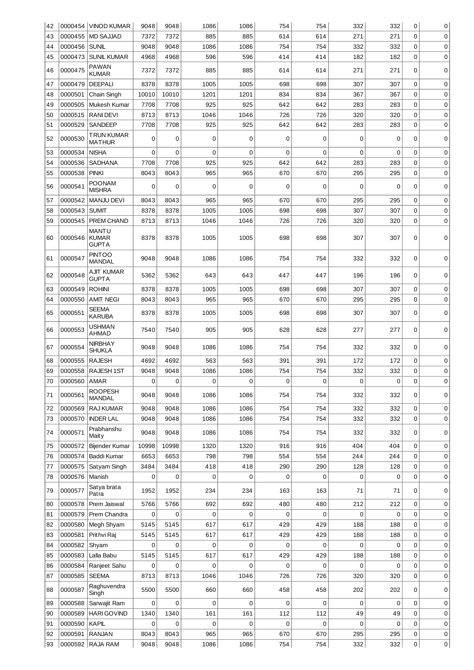| 42 |                    | 0000454 VINOD KUMAR                          | 9048           | 9048         | 1086           | 1086        | 754         | 754         | 332 | 332        | 0           | 0           |
|----|--------------------|----------------------------------------------|----------------|--------------|----------------|-------------|-------------|-------------|-----|------------|-------------|-------------|
| 43 |                    | 0000455 MD SAJJAD                            | 7372           | 7372         | 885            | 885         | 614         | 614         | 271 | 271        | $\Omega$    | $\mathbf 0$ |
| 44 | 0000456            | <b>SUNIL</b>                                 | 9048           | 9048         | 1086           | 1086        | 754         | 754         | 332 | 332        | 0           | 0           |
| 45 | 0000473            | <b>SUNIL KUMAR</b>                           | 4968           | 4968         | 596            | 596         | 414         | 414         | 182 | 182        | 0           | 0           |
| 46 | 0000475            | <b>PAWAN</b><br><b>KUMAR</b>                 | 7372           | 7372         | 885            | 885         | 614         | 614         | 271 | 271        | 0           | 0           |
| 47 | 0000479            | <b>DEEPALI</b>                               | 8378           | 8378         | 1005           | 1005        | 698         | 698         | 307 | 307        | $\mathbf 0$ | 0           |
| 48 | 0000501            | Chain Singh                                  | 10010          | 10010        | 1201           | 1201        | 834         | 834         | 367 | 367        | 0           | 0           |
| 49 | 0000505            | Mukesh Kumar                                 | 7708           | 7708         | 925            | 925         | 642         | 642         | 283 | 283        | 0           | 0           |
| 50 | 0000515            | <b>RANIDEVI</b>                              | 8713           | 8713         | 1046           | 1046        | 726         | 726         | 320 | 320        | $\mathbf 0$ | 0           |
| 51 | 0000529            | <b>SANDEEP</b>                               | 7708           | 7708         | 925            | 925         | 642         | 642         | 283 | 283        | 0           | 0           |
| 52 | 0000530            | TRUN KUMAR<br><b>MATHUR</b>                  | 0              | $\mathbf 0$  | 0              | 0           | $\mathbf 0$ | $\mathbf 0$ | 0   | 0          | $\Omega$    | 0           |
| 53 | 0000534            | <b>NISHA</b>                                 | 0              | $\mathbf 0$  | 0              | 0           | 0           | 0           | 0   | 0          | 0           | 0           |
| 54 | 0000536            | <b>SADHANA</b>                               | 7708           | 7708         | 925            | 925         | 642         | 642         | 283 | 283        | $\mathbf 0$ | 0           |
|    | 0000538            | <b>PINKI</b>                                 |                | 8043         |                | 965         | 670         |             | 295 |            | 0           |             |
| 55 |                    |                                              | 8043           |              | 965            |             |             | 670         |     | 295        |             | 0           |
| 56 | 0000541            | <b>POONAM</b><br><b>MISHRA</b>               | 0              | $\mathbf 0$  | $\mathbf 0$    | $\mathbf 0$ | 0           | $\mathbf 0$ | 0   | 0          | 0           | 0           |
| 57 | 0000542            | <b>MANJU DEVI</b>                            | 8043           | 8043         | 965            | 965         | 670         | 670         | 295 | 295        | 0           | 0           |
| 58 | 0000543            | <b>SUMIT</b>                                 | 8378           | 8378         | 1005           | 1005        | 698         | 698         | 307 | 307        | $\mathbf 0$ | 0           |
| 59 | 0000545            | PREM CHAND                                   | 8713           | 8713         | 1046           | 1046        | 726         | 726         | 320 | 320        | $\mathbf 0$ | 0           |
| 60 | 0000546            | <b>MANTU</b><br><b>KUMAR</b><br><b>GUPTA</b> | 8378           | 8378         | 1005           | 1005        | 698         | 698         | 307 | 307        | 0           | 0           |
| 61 | 0000547            | <b>PINTOO</b><br><b>MANDAL</b>               | 9048           | 9048         | 1086           | 1086        | 754         | 754         | 332 | 332        | 0           | 0           |
| 62 | 0000548            | AJIT KUMAR<br><b>GUPTA</b>                   | 5362           | 5362         | 643            | 643         | 447         | 447         | 196 | 196        | 0           | 0           |
| 63 | 0000549            | <b>ROHINI</b>                                | 8378           | 8378         | 1005           | 1005        | 698         | 698         | 307 | 307        | $\mathbf 0$ | 0           |
| 64 | 0000550            | AMIT NEGI                                    | 8043           | 8043         | 965            | 965         | 670         | 670         | 295 | 295        | 0           | 0           |
| 65 | 0000551            | <b>SEEMA</b><br><b>KARUBA</b>                | 8378           | 8378         | 1005           | 1005        | 698         | 698         | 307 | 307        | 0           | 0           |
| 66 | 0000553            | USHMAN<br>AHMAD                              | 7540           | 7540         | 905            | 905         | 628         | 628         | 277 | 277        | 0           | 0           |
| 67 | 0000554            | <b>NIRBHAY</b><br><b>SHUKLA</b>              | 9048           | 9048         | 1086           | 1086        | 754         | 754         | 332 | 332        | 0           | 0           |
| 68 | 0000555            | <b>RAJESH</b>                                | 4692           | 4692         | 563            | 563         | 391         | 391         | 172 | 172        | $\mathbf 0$ | 0           |
| 69 | 0000558            | RAJESH 1ST                                   | 9048           | 9048         | 1086           | 1086        | 754         | 754         | 332 | 332        | 0           | 0           |
| 70 | 0000560            | AMAR                                         | $\overline{0}$ | 0            | 0              | 0           | 0           | 0           | 0   | 0          | 0           | 0           |
| 71 | 0000561            | <b>ROOPESH</b><br><b>MANDAL</b>              | 9048           | 9048         | 1086           | 1086        | 754         | 754         | 332 | 332        | 0           | 0           |
| 72 | 0000569            | RAJ KUMAR                                    | 9048           | 9048         | 1086           | 1086        | 754         | 754         | 332 | 332        | $\mathbf 0$ | 0           |
| 73 | 0000570            | <b>INDER LAL</b>                             | 9048           | 9048         | 1086           | 1086        | 754         | 754         | 332 | 332        | $\mathbf 0$ | 0           |
| 74 | 0000571            | Prabhanshu<br>Maity                          | 9048           | 9048         | 1086           | 1086        | 754         | 754         | 332 | 332        | 0           | 0           |
| 75 | 0000572            | Bijender Kumar                               | 10998          | 10998        | 1320           | 1320        | 916         | 916         | 404 | 404        | $\mathbf 0$ | 0           |
| 76 | 0000574            | Baddi Kumar                                  | 6653           | 6653         | 798            | 798         | 554         | 554         | 244 | 244        | $\mathbf 0$ | 0           |
| 77 | 0000575            | Satyam Singh                                 | 3484           | 3484         | 418            | 418         | 290         | 290         | 128 | 128        | $\mathbf 0$ | 0           |
| 78 | 0000576            | Manish                                       | 0              | $\mathbf 0$  | 0              | 0           | 0           | 0           | 0   | 0          | 0           | 0           |
| 79 | 0000577            | Satya brata<br>Patra                         | 1952           | 1952         | 234            | 234         | 163         | 163         | 71  | 71         | 0           | 0           |
| 80 | 0000578            | Prem Jaiswal                                 | 5766           | 5766         | 692            | 692         | 480         | 480         | 212 | 212        | $\mathbf 0$ | 0           |
| 81 | 0000579            | Prem Chandra                                 | 0              | $\mathbf 0$  | 0              | 0           | 0           | 0           | 0   | 0          | $\mathbf 0$ | 0           |
| 82 | 0000580            | Megh Shyam                                   | 5145           | 5145         | 617            | 617         | 429         | 429         | 188 | 188        | $\mathbf 0$ | 0           |
| 83 | 0000581            | Prithvi Raj                                  | 5145           | 5145         | 617            | 617         | 429         | 429         | 188 | 188        | $\mathbf 0$ | 0           |
| 84 | 0000582            | Shyam                                        | 0              | $\mathbf 0$  | $\overline{0}$ | 0           | 0           | 0           | 0   | 0          | 0           | 0           |
| 85 | 0000583            | Lalla Babu                                   | 5145           | 5145         | 617            | 617         | 429         | 429         | 188 | 188        | 0           | 0           |
| 86 | 0000584            | Ranjeet Sahu                                 | 0              | $\mathbf 0$  | 0              | 0           | 0           | 0           | 0   | 0          | $\Omega$    | 0           |
| 87 |                    |                                              |                | 8713         |                | 1046        | 726         | 726         | 320 |            | $\mathbf 0$ | 0           |
| 88 | 0000585<br>0000587 | <b>SEEMA</b><br>Raghuvendra                  | 8713<br>5500   | 5500         | 1046<br>660    | 660         | 458         | 458         | 202 | 320<br>202 | 0           | 0           |
| 89 | 0000588            | Singh<br>Sarwajit Ram                        | 0              | $\mathbf 0$  | 0              | 0           | 0           | 0           | 0   | 0          | $\mathbf 0$ | 0           |
| 90 | 0000589            | <b>HARI GOVIND</b>                           | 1340           | 1340         | 161            | 161         | 112         | 112         | 49  | 49         | $\Omega$    | 0           |
|    | 0000590            |                                              | 0              |              | 0              | 0           | 0           | 0           | 0   | 0          | 0           |             |
| 91 |                    | KAPIL                                        |                | 0            |                |             |             |             |     |            |             | 0           |
| 92 | 0000591            | <b>RANJAN</b>                                | 8043           | 8043<br>9048 | 965            | 965         | 670         | 670         | 295 | 295        | $\mathbf 0$ | 0           |
| 93 |                    | 0000592 RAJA RAM                             | 9048           |              | 1086           | 1086        | 754         | 754         | 332 | 332        | 0           | 0           |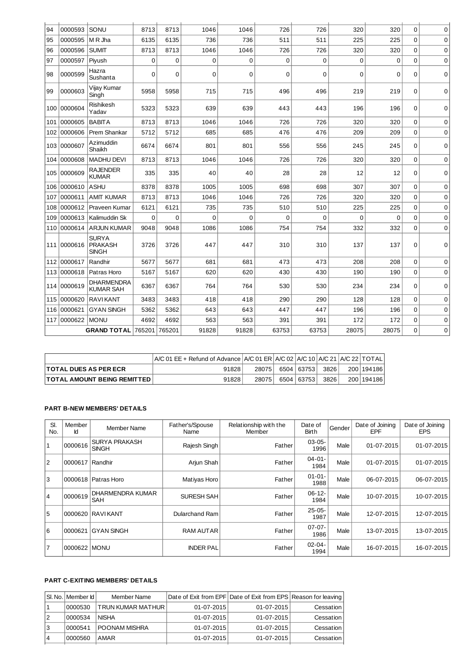| 94  | 0000593 | SONU                                           | 8713        | 8713        | 1046        | 1046        | 726         | 726         | 320      | 320      | $\Omega$    | 0           |
|-----|---------|------------------------------------------------|-------------|-------------|-------------|-------------|-------------|-------------|----------|----------|-------------|-------------|
| 95  | 0000595 | M R Jha                                        | 6135        | 6135        | 736         | 736         | 511         | 511         | 225      | 225      | 0           | 0           |
| 96  | 0000596 | <b>SUMIT</b>                                   | 8713        | 8713        | 1046        | 1046        | 726         | 726         | 320      | 320      | $\Omega$    | $\mathbf 0$ |
| 97  | 0000597 | Piyush                                         | $\mathbf 0$ | $\mathbf 0$ | $\mathbf 0$ | $\mathbf 0$ | $\mathbf 0$ | 0           | 0        | $\Omega$ | $\Omega$    | $\mathbf 0$ |
| 98  | 0000599 | Hazra<br>Sushanta                              | 0           | $\Omega$    | 0           | 0           | $\Omega$    | 0           | 0        | 0        | $\Omega$    | 0           |
| 99  | 0000603 | Vijay Kumar<br>Singh                           | 5958        | 5958        | 715         | 715         | 496         | 496         | 219      | 219      | 0           | 0           |
| 100 | 0000604 | Rishikesh<br>Yadav                             | 5323        | 5323        | 639         | 639         | 443         | 443         | 196      | 196      | 0           | 0           |
| 101 | 0000605 | <b>BABITA</b>                                  | 8713        | 8713        | 1046        | 1046        | 726         | 726         | 320      | 320      | $\Omega$    | $\mathbf 0$ |
| 102 | 0000606 | Prem Shankar                                   | 5712        | 5712        | 685         | 685         | 476         | 476         | 209      | 209      | $\Omega$    | 0           |
| 103 | 0000607 | Azimuddin<br>Shaikh                            | 6674        | 6674        | 801         | 801         | 556         | 556         | 245      | 245      | 0           | 0           |
| 104 | 0000608 | <b>MADHU DEVI</b>                              | 8713        | 8713        | 1046        | 1046        | 726         | 726         | 320      | 320      | $\Omega$    | $\mathbf 0$ |
| 105 | 0000609 | <b>RAJENDER</b><br>KUMAR                       | 335         | 335         | 40          | 40          | 28          | 28          | 12       | 12       | $\Omega$    | $\mathbf 0$ |
| 106 | 0000610 | <b>ASHU</b>                                    | 8378        | 8378        | 1005        | 1005        | 698         | 698         | 307      | 307      | $\Omega$    | $\mathbf 0$ |
| 107 | 0000611 | <b>AMIT KUMAR</b>                              | 8713        | 8713        | 1046        | 1046        | 726         | 726         | 320      | 320      | $\mathbf 0$ | $\mathbf 0$ |
| 108 | 0000612 | Praveen Kumar                                  | 6121        | 6121        | 735         | 735         | 510         | 510         | 225      | 225      | $\mathbf 0$ | $\mathbf 0$ |
| 109 | 0000613 | Kalimuddin Sk                                  | 0           | $\mathbf 0$ | $\Omega$    | $\Omega$    | $\Omega$    | $\mathbf 0$ | $\Omega$ | $\Omega$ | $\Omega$    | 0           |
| 110 | 0000614 | <b>ARJUN KUMAR</b>                             | 9048        | 9048        | 1086        | 1086        | 754         | 754         | 332      | 332      | $\Omega$    | 0           |
| 111 | 0000616 | <b>SURYA</b><br><b>PRAKASH</b><br><b>SINGH</b> | 3726        | 3726        | 447         | 447         | 310         | 310         | 137      | 137      | $\Omega$    | $\mathbf 0$ |
| 112 | 0000617 | Randhir                                        | 5677        | 5677        | 681         | 681         | 473         | 473         | 208      | 208      | $\Omega$    | $\mathbf 0$ |
| 113 | 0000618 | Patras Horo                                    | 5167        | 5167        | 620         | 620         | 430         | 430         | 190      | 190      | $\mathbf 0$ | $\mathbf 0$ |
| 114 | 0000619 | DHARMENDRA<br><b>KUMAR SAH</b>                 | 6367        | 6367        | 764         | 764         | 530         | 530         | 234      | 234      | $\Omega$    | $\Omega$    |
| 115 | 0000620 | <b>RAVIKANT</b>                                | 3483        | 3483        | 418         | 418         | 290         | 290         | 128      | 128      | $\Omega$    | 0           |
| 116 | 0000621 | <b>GYAN SINGH</b>                              | 5362        | 5362        | 643         | 643         | 447         | 447         | 196      | 196      | $\mathbf 0$ | $\mathbf 0$ |
| 117 | 0000622 | <b>MONU</b>                                    | 4692        | 4692        | 563         | 563         | 391         | 391         | 172      | 172      | $\mathbf 0$ | $\mathbf 0$ |
|     |         | <b>GRAND TOTAL</b>                             | 765201      | 765201      | 91828       | 91828       | 63753       | 63753       | 28075    | 28075    | $\mathbf 0$ | 0           |

|                                    | $\overline{A/C}$ 01 EE + Refund of Advance $\overline{A/C}$ 01 ER $\overline{A/C}$ 02 $\overline{A/C}$ 10 $\overline{A/C}$ 21 $\overline{A/C}$ 22 $\overline{A/C}$ |        |              |        |               |
|------------------------------------|--------------------------------------------------------------------------------------------------------------------------------------------------------------------|--------|--------------|--------|---------------|
| <b>ITOTAL DUES AS PER ECR</b>      | 91828                                                                                                                                                              | 280751 | 6504 63753 1 | 3826   | 200   194 186 |
| <b>TOTAL AMOUNT BEING REMITTED</b> | 91828 <sub>1</sub>                                                                                                                                                 | 280751 | 6504 63753 5 | 3826 l | 200   194 186 |

### **PART B-NEW MEMBERS' DETAILS**

| SI.<br>No.     | Member<br>Id | Member Name                          | Father's/Spouse<br>Name | Relationship with the<br>Member | Date of<br>Birth    | Gender | Date of Joining<br><b>EPF</b> | Date of Joining<br><b>EPS</b> |
|----------------|--------------|--------------------------------------|-------------------------|---------------------------------|---------------------|--------|-------------------------------|-------------------------------|
| 1              | 0000616      | <b>SURYA PRAKASH</b><br><b>SINGH</b> | Rajesh Singh            | Father                          | $03-05-$<br>1996    | Male   | 01-07-2015                    | 01-07-2015                    |
| 2              | 0000617      | l Randhir                            | Arjun Shah              | Father                          | $04 - 01 -$<br>1984 | Male   | 01-07-2015                    | 01-07-2015                    |
| 3              | 0000618      | Patras Horo                          | <b>Matiyas Horo</b>     | Father                          | $01 - 01 -$<br>1988 | Male   | 06-07-2015                    | 06-07-2015                    |
| $\overline{4}$ | 0000619      | DHARMENDRA KUMAR<br><b>SAH</b>       | <b>SURESH SAH</b>       | Father                          | $06-12-$<br>1984    | Male   | 10-07-2015                    | 10-07-2015                    |
| 5              |              | 0000620 RAVIKANT                     | Dularchand Ram          | Father                          | $25-05-$<br>1987    | Male   | 12-07-2015                    | 12-07-2015                    |
| 6              | 0000621      | <b>GYAN SINGH</b>                    | <b>RAM AUTAR</b>        | Father                          | $07-07-$<br>1986    | Male   | 13-07-2015                    | 13-07-2015                    |
| $\overline{7}$ | 0000622 MONU |                                      | <b>INDER PAL</b>        | Father                          | $02 - 04 -$<br>1994 | Male   | 16-07-2015                    | 16-07-2015                    |

## **PART C-EXITING MEMBERS' DETAILS**

|    | l SI. No. I Member Id l | Member Name       |                  | Date of Exit from EPF Date of Exit from EPS Reason for leaving |           |
|----|-------------------------|-------------------|------------------|----------------------------------------------------------------|-----------|
|    | 10000530                | TRUN KUMAR MATHUR | $01 - 07 - 2015$ | $01-07-2015$                                                   | Cessation |
| 2  | 0000534                 | NISHA             | $01 - 07 - 2015$ | $01 - 07 - 2015$                                               | Cessation |
| Ι3 | 0000541                 | I POONAM MISHRA   | $01 - 07 - 2015$ | $01 - 07 - 2015$                                               | Cessation |
| 14 | 0000560                 | AMAR              | $01 - 07 - 2015$ | 01-07-2015                                                     | Cessation |